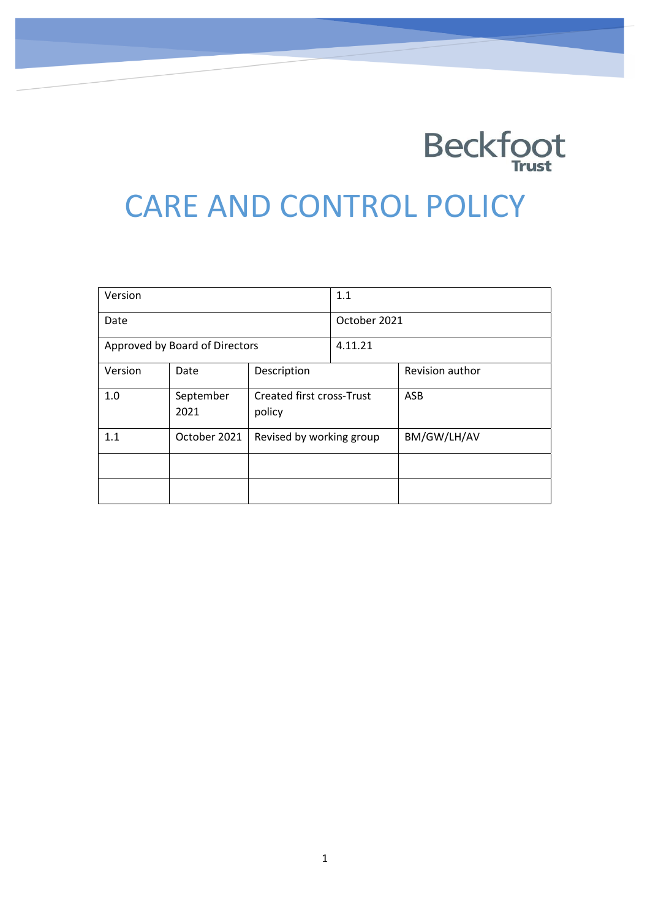

# CARE AND CONTROL POLICY

| Version                        |                   | 1.1                                        |  |                 |
|--------------------------------|-------------------|--------------------------------------------|--|-----------------|
| Date                           |                   | October 2021                               |  |                 |
| Approved by Board of Directors |                   | 4.11.21                                    |  |                 |
| Version                        | Date              | Description                                |  | Revision author |
| 1.0                            | September<br>2021 | <b>Created first cross-Trust</b><br>policy |  | ASB             |
| 1.1                            | October 2021      | Revised by working group                   |  | BM/GW/LH/AV     |
|                                |                   |                                            |  |                 |
|                                |                   |                                            |  |                 |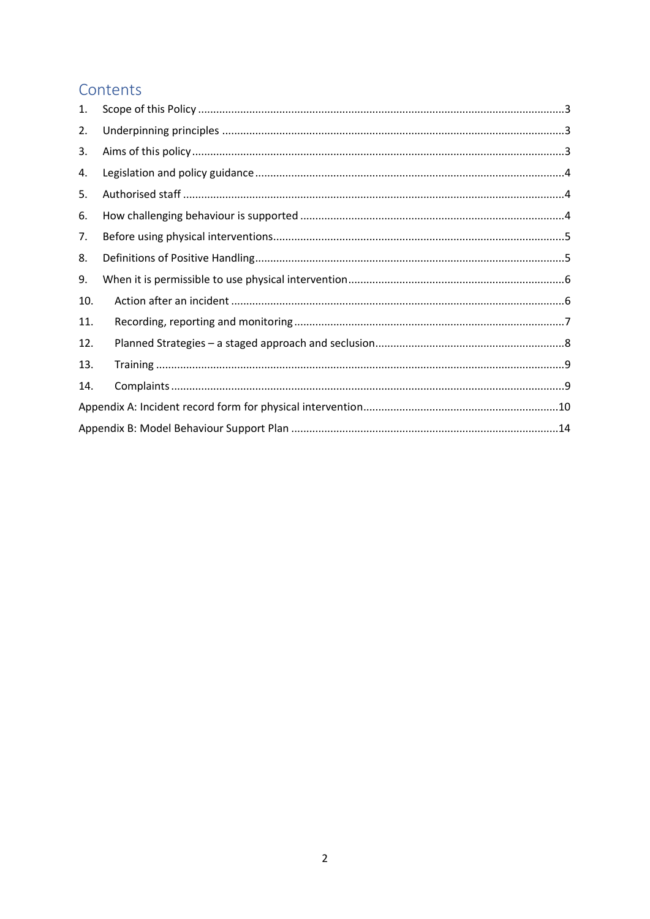# Contents

| 1.  |  |
|-----|--|
| 2.  |  |
| 3.  |  |
| 4.  |  |
| 5.  |  |
| 6.  |  |
| 7.  |  |
| 8.  |  |
| 9.  |  |
| 10. |  |
| 11. |  |
| 12. |  |
| 13. |  |
| 14. |  |
|     |  |
|     |  |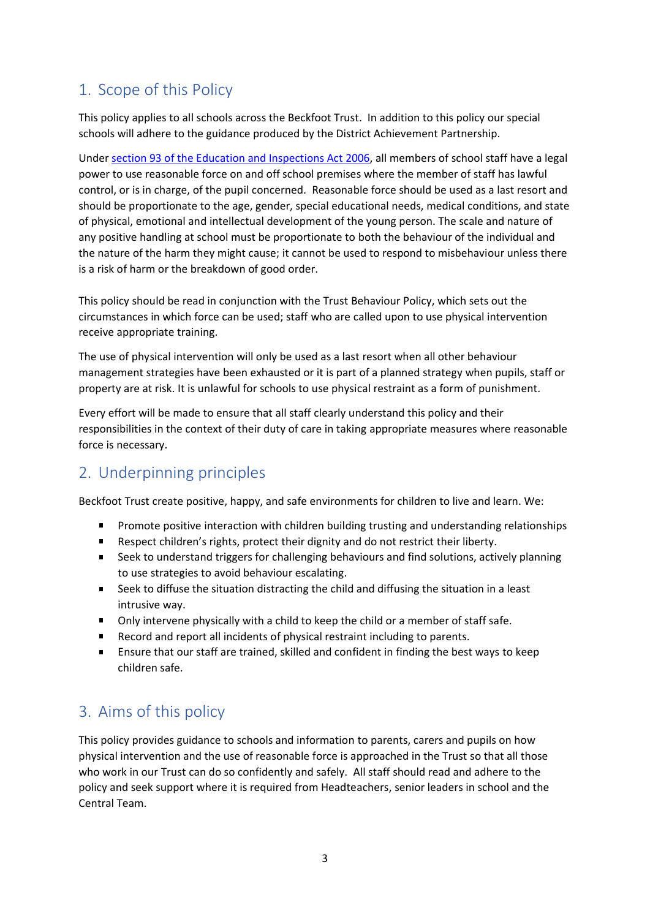# 1. Scope of this Policy

This policy applies to all schools across the Beckfoot Trust. In addition to this policy our special schools will adhere to the guidance produced by the District Achievement Partnership.

Under [section 93 of the Education and Inspections Act 2006,](https://www.legislation.gov.uk/ukpga/2006/40/section/93) all members of school staff have a legal power to use reasonable force on and off school premises where the member of staff has lawful control, or is in charge, of the pupil concerned. Reasonable force should be used as a last resort and should be proportionate to the age, gender, special educational needs, medical conditions, and state of physical, emotional and intellectual development of the young person. The scale and nature of any positive handling at school must be proportionate to both the behaviour of the individual and the nature of the harm they might cause; it cannot be used to respond to misbehaviour unless there is a risk of harm or the breakdown of good order.

This policy should be read in conjunction with the Trust Behaviour Policy, which sets out the circumstances in which force can be used; staff who are called upon to use physical intervention receive appropriate training.

The use of physical intervention will only be used as a last resort when all other behaviour management strategies have been exhausted or it is part of a planned strategy when pupils, staff or property are at risk. It is unlawful for schools to use physical restraint as a form of punishment.

Every effort will be made to ensure that all staff clearly understand this policy and their responsibilities in the context of their duty of care in taking appropriate measures where reasonable force is necessary.

# 2. Underpinning principles

Beckfoot Trust create positive, happy, and safe environments for children to live and learn. We:

- Promote positive interaction with children building trusting and understanding relationships  $\blacksquare$
- $\mathbf{m} = 0$ Respect children's rights, protect their dignity and do not restrict their liberty.
- $\blacksquare$ Seek to understand triggers for challenging behaviours and find solutions, actively planning to use strategies to avoid behaviour escalating.
- Seek to diffuse the situation distracting the child and diffusing the situation in a least  $\mathbf{m}$  . intrusive way.
- Only intervene physically with a child to keep the child or a member of staff safe.  $\mathbf{u}$  .
- Record and report all incidents of physical restraint including to parents.
- $\blacksquare$ Ensure that our staff are trained, skilled and confident in finding the best ways to keep children safe.

# 3. Aims of this policy

This policy provides guidance to schools and information to parents, carers and pupils on how physical intervention and the use of reasonable force is approached in the Trust so that all those who work in our Trust can do so confidently and safely. All staff should read and adhere to the policy and seek support where it is required from Headteachers, senior leaders in school and the Central Team.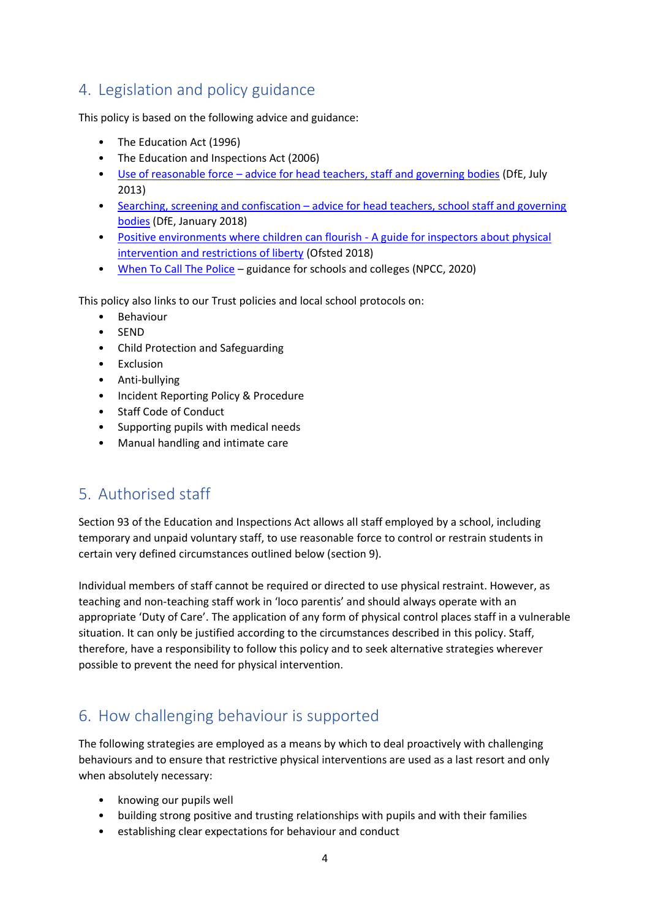# 4. Legislation and policy guidance

This policy is based on the following advice and guidance:

- The Education Act (1996)
- The Education and Inspections Act (2006)
- Use of reasonable force [advice for head teachers, staff and governing bodies](https://assets.publishing.service.gov.uk/government/uploads/system/uploads/attachment_data/file/444051/Use_of_reasonable_force_advice_Reviewed_July_2015.pdf) (DfE, July 2013)
- Searching, screening and confiscation advice for head teachers, school staff and governing [bodies](https://assets.publishing.service.gov.uk/government/uploads/system/uploads/attachment_data/file/674416/Searching_screening_and_confiscation.pdf) (DfE, January 2018)
- [Positive environments where children can flourish -](https://assets.publishing.service.gov.uk/government/uploads/system/uploads/attachment_data/file/693446/Environments_where_children_can_flourish.pd) A guide for inspectors about physical [intervention and restrictions of liberty](https://assets.publishing.service.gov.uk/government/uploads/system/uploads/attachment_data/file/693446/Environments_where_children_can_flourish.pd) (Ofsted 2018)
- [When To Call The Police](https://www.npcc.police.uk/documents/Children%20and%20Young%20people/When%20to%20call%20the%20police%20guidance%20for%20schools%20and%20colleges.pdf) guidance for schools and colleges (NPCC, 2020)

This policy also links to our Trust policies and local school protocols on:

- Behaviour
- SEND
- Child Protection and Safeguarding
- Exclusion
- Anti-bullying
- Incident Reporting Policy & Procedure
- Staff Code of Conduct
- Supporting pupils with medical needs
- Manual handling and intimate care

# 5. Authorised staff

Section 93 of the Education and Inspections Act allows all staff employed by a school, including temporary and unpaid voluntary staff, to use reasonable force to control or restrain students in certain very defined circumstances outlined below (section 9).

Individual members of staff cannot be required or directed to use physical restraint. However, as teaching and non-teaching staff work in 'loco parentis' and should always operate with an appropriate 'Duty of Care'. The application of any form of physical control places staff in a vulnerable situation. It can only be justified according to the circumstances described in this policy. Staff, therefore, have a responsibility to follow this policy and to seek alternative strategies wherever possible to prevent the need for physical intervention.

# 6. How challenging behaviour is supported

The following strategies are employed as a means by which to deal proactively with challenging behaviours and to ensure that restrictive physical interventions are used as a last resort and only when absolutely necessary:

- knowing our pupils well
- building strong positive and trusting relationships with pupils and with their families
- establishing clear expectations for behaviour and conduct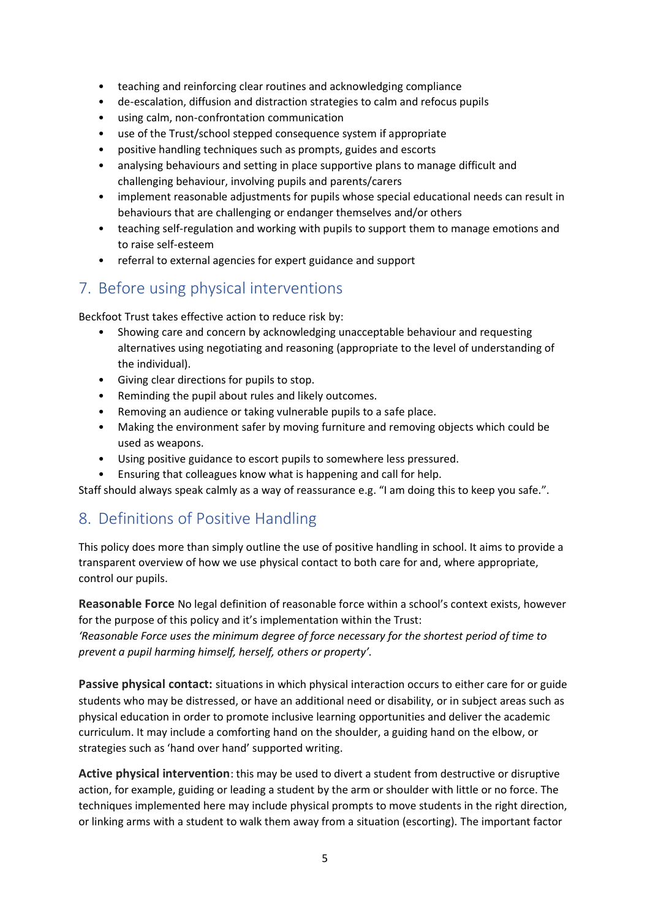- teaching and reinforcing clear routines and acknowledging compliance
- de-escalation, diffusion and distraction strategies to calm and refocus pupils
- using calm, non-confrontation communication
- use of the Trust/school stepped consequence system if appropriate
- positive handling techniques such as prompts, guides and escorts
- analysing behaviours and setting in place supportive plans to manage difficult and challenging behaviour, involving pupils and parents/carers
- implement reasonable adjustments for pupils whose special educational needs can result in behaviours that are challenging or endanger themselves and/or others
- teaching self-regulation and working with pupils to support them to manage emotions and to raise self-esteem
- referral to external agencies for expert guidance and support

### 7. Before using physical interventions

Beckfoot Trust takes effective action to reduce risk by:

- Showing care and concern by acknowledging unacceptable behaviour and requesting alternatives using negotiating and reasoning (appropriate to the level of understanding of the individual).
- Giving clear directions for pupils to stop.
- Reminding the pupil about rules and likely outcomes.
- Removing an audience or taking vulnerable pupils to a safe place.
- Making the environment safer by moving furniture and removing objects which could be used as weapons.
- Using positive guidance to escort pupils to somewhere less pressured.
- Ensuring that colleagues know what is happening and call for help.

Staff should always speak calmly as a way of reassurance e.g. "I am doing this to keep you safe.".

### 8. Definitions of Positive Handling

This policy does more than simply outline the use of positive handling in school. It aims to provide a transparent overview of how we use physical contact to both care for and, where appropriate, control our pupils.

**Reasonable Force** No legal definition of reasonable force within a school's context exists, however for the purpose of this policy and it's implementation within the Trust:

*'Reasonable Force uses the minimum degree of force necessary for the shortest period of time to prevent a pupil harming himself, herself, others or property'.*

**Passive physical contact:** situations in which physical interaction occurs to either care for or guide students who may be distressed, or have an additional need or disability, or in subject areas such as physical education in order to promote inclusive learning opportunities and deliver the academic curriculum. It may include a comforting hand on the shoulder, a guiding hand on the elbow, or strategies such as 'hand over hand' supported writing.

**Active physical intervention**: this may be used to divert a student from destructive or disruptive action, for example, guiding or leading a student by the arm or shoulder with little or no force. The techniques implemented here may include physical prompts to move students in the right direction, or linking arms with a student to walk them away from a situation (escorting). The important factor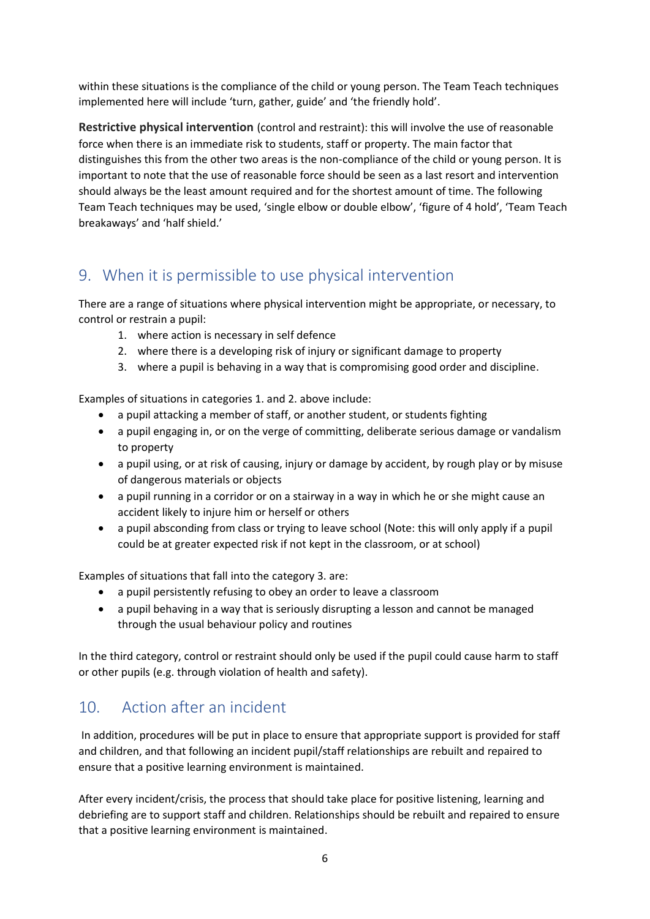within these situations is the compliance of the child or young person. The Team Teach techniques implemented here will include 'turn, gather, guide' and 'the friendly hold'.

**Restrictive physical intervention** (control and restraint): this will involve the use of reasonable force when there is an immediate risk to students, staff or property. The main factor that distinguishes this from the other two areas is the non-compliance of the child or young person. It is important to note that the use of reasonable force should be seen as a last resort and intervention should always be the least amount required and for the shortest amount of time. The following Team Teach techniques may be used, 'single elbow or double elbow', 'figure of 4 hold', 'Team Teach breakaways' and 'half shield.'

# 9. When it is permissible to use physical intervention

There are a range of situations where physical intervention might be appropriate, or necessary, to control or restrain a pupil:

- 1. where action is necessary in self defence
- 2. where there is a developing risk of injury or significant damage to property
- 3. where a pupil is behaving in a way that is compromising good order and discipline.

Examples of situations in categories 1. and 2. above include:

- a pupil attacking a member of staff, or another student, or students fighting
- a pupil engaging in, or on the verge of committing, deliberate serious damage or vandalism to property
- a pupil using, or at risk of causing, injury or damage by accident, by rough play or by misuse of dangerous materials or objects
- a pupil running in a corridor or on a stairway in a way in which he or she might cause an accident likely to injure him or herself or others
- a pupil absconding from class or trying to leave school (Note: this will only apply if a pupil could be at greater expected risk if not kept in the classroom, or at school)

Examples of situations that fall into the category 3. are:

- a pupil persistently refusing to obey an order to leave a classroom
- a pupil behaving in a way that is seriously disrupting a lesson and cannot be managed through the usual behaviour policy and routines

In the third category, control or restraint should only be used if the pupil could cause harm to staff or other pupils (e.g. through violation of health and safety).

# 10. Action after an incident

In addition, procedures will be put in place to ensure that appropriate support is provided for staff and children, and that following an incident pupil/staff relationships are rebuilt and repaired to ensure that a positive learning environment is maintained.

After every incident/crisis, the process that should take place for positive listening, learning and debriefing are to support staff and children. Relationships should be rebuilt and repaired to ensure that a positive learning environment is maintained.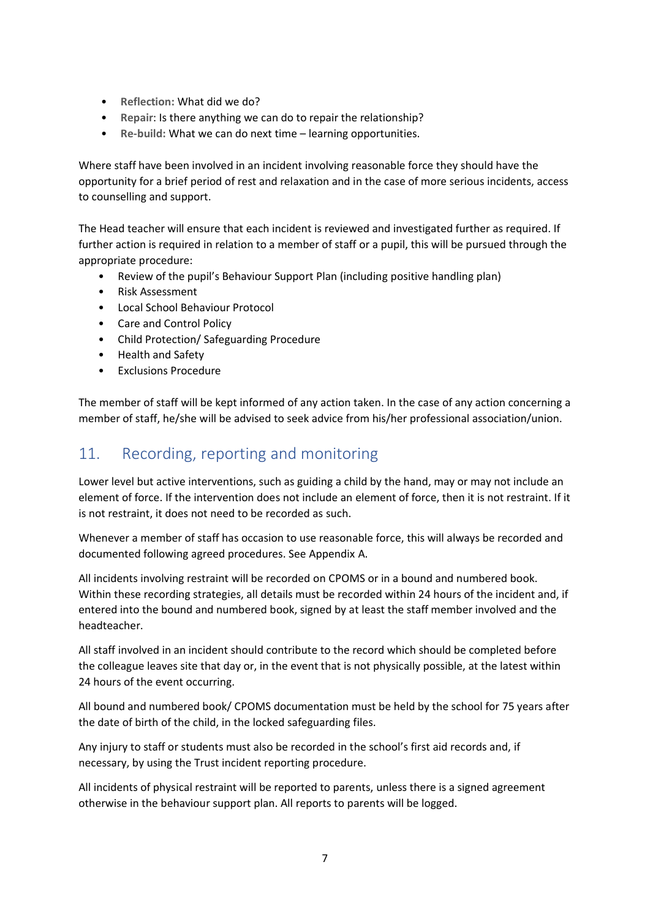- **Reflection:** What did we do?
- **Repair**: Is there anything we can do to repair the relationship?
- **Re-build:** What we can do next time learning opportunities.

Where staff have been involved in an incident involving reasonable force they should have the opportunity for a brief period of rest and relaxation and in the case of more serious incidents, access to counselling and support.

The Head teacher will ensure that each incident is reviewed and investigated further as required. If further action is required in relation to a member of staff or a pupil, this will be pursued through the appropriate procedure:

- Review of the pupil's Behaviour Support Plan (including positive handling plan)
- Risk Assessment
- Local School Behaviour Protocol
- Care and Control Policy
- Child Protection/ Safeguarding Procedure
- Health and Safety
- Exclusions Procedure

The member of staff will be kept informed of any action taken. In the case of any action concerning a member of staff, he/she will be advised to seek advice from his/her professional association/union.

# 11. Recording, reporting and monitoring

Lower level but active interventions, such as guiding a child by the hand, may or may not include an element of force. If the intervention does not include an element of force, then it is not restraint. If it is not restraint, it does not need to be recorded as such.

Whenever a member of staff has occasion to use reasonable force, this will always be recorded and documented following agreed procedures. See Appendix A.

All incidents involving restraint will be recorded on CPOMS or in a bound and numbered book. Within these recording strategies, all details must be recorded within 24 hours of the incident and, if entered into the bound and numbered book, signed by at least the staff member involved and the headteacher.

All staff involved in an incident should contribute to the record which should be completed before the colleague leaves site that day or, in the event that is not physically possible, at the latest within 24 hours of the event occurring.

All bound and numbered book/ CPOMS documentation must be held by the school for 75 years after the date of birth of the child, in the locked safeguarding files.

Any injury to staff or students must also be recorded in the school's first aid records and, if necessary, by using the Trust incident reporting procedure.

All incidents of physical restraint will be reported to parents, unless there is a signed agreement otherwise in the behaviour support plan. All reports to parents will be logged.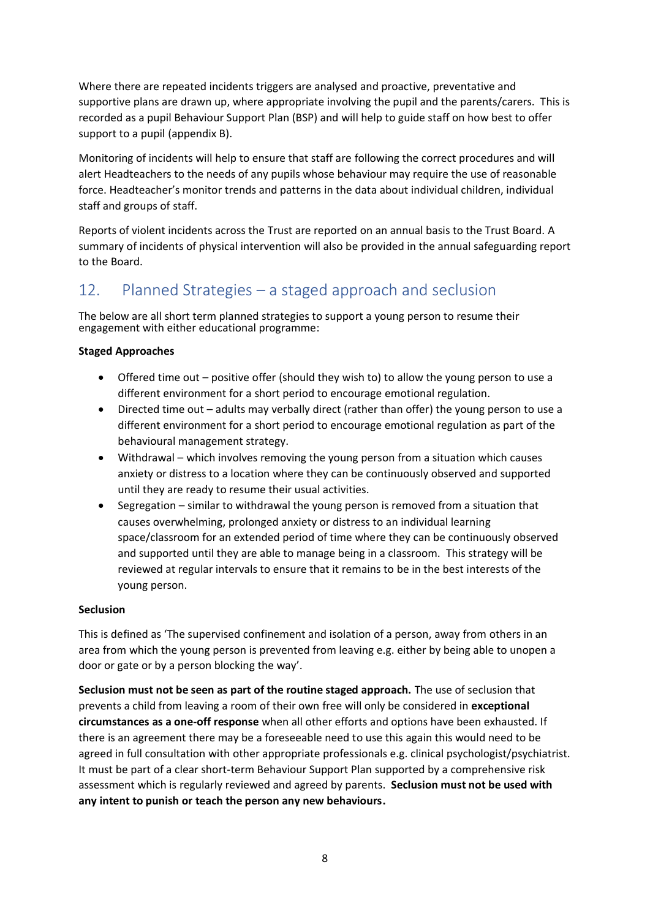Where there are repeated incidents triggers are analysed and proactive, preventative and supportive plans are drawn up, where appropriate involving the pupil and the parents/carers. This is recorded as a pupil Behaviour Support Plan (BSP) and will help to guide staff on how best to offer support to a pupil (appendix B).

Monitoring of incidents will help to ensure that staff are following the correct procedures and will alert Headteachers to the needs of any pupils whose behaviour may require the use of reasonable force. Headteacher's monitor trends and patterns in the data about individual children, individual staff and groups of staff.

Reports of violent incidents across the Trust are reported on an annual basis to the Trust Board. A summary of incidents of physical intervention will also be provided in the annual safeguarding report to the Board.

# 12. Planned Strategies – a staged approach and seclusion

The below are all short term planned strategies to support a young person to resume their engagement with either educational programme:

#### **Staged Approaches**

- Offered time out positive offer (should they wish to) to allow the young person to use a different environment for a short period to encourage emotional regulation.
- Directed time out adults may verbally direct (rather than offer) the young person to use a different environment for a short period to encourage emotional regulation as part of the behavioural management strategy.
- Withdrawal which involves removing the young person from a situation which causes anxiety or distress to a location where they can be continuously observed and supported until they are ready to resume their usual activities.
- Segregation similar to withdrawal the young person is removed from a situation that causes overwhelming, prolonged anxiety or distress to an individual learning space/classroom for an extended period of time where they can be continuously observed and supported until they are able to manage being in a classroom. This strategy will be reviewed at regular intervals to ensure that it remains to be in the best interests of the young person.

#### **Seclusion**

This is defined as 'The supervised confinement and isolation of a person, away from others in an area from which the young person is prevented from leaving e.g. either by being able to unopen a door or gate or by a person blocking the way'.

**Seclusion must not be seen as part of the routine staged approach.** The use of seclusion that prevents a child from leaving a room of their own free will only be considered in **exceptional circumstances as a one-off response** when all other efforts and options have been exhausted. If there is an agreement there may be a foreseeable need to use this again this would need to be agreed in full consultation with other appropriate professionals e.g. clinical psychologist/psychiatrist. It must be part of a clear short-term Behaviour Support Plan supported by a comprehensive risk assessment which is regularly reviewed and agreed by parents. **Seclusion must not be used with any intent to punish or teach the person any new behaviours.**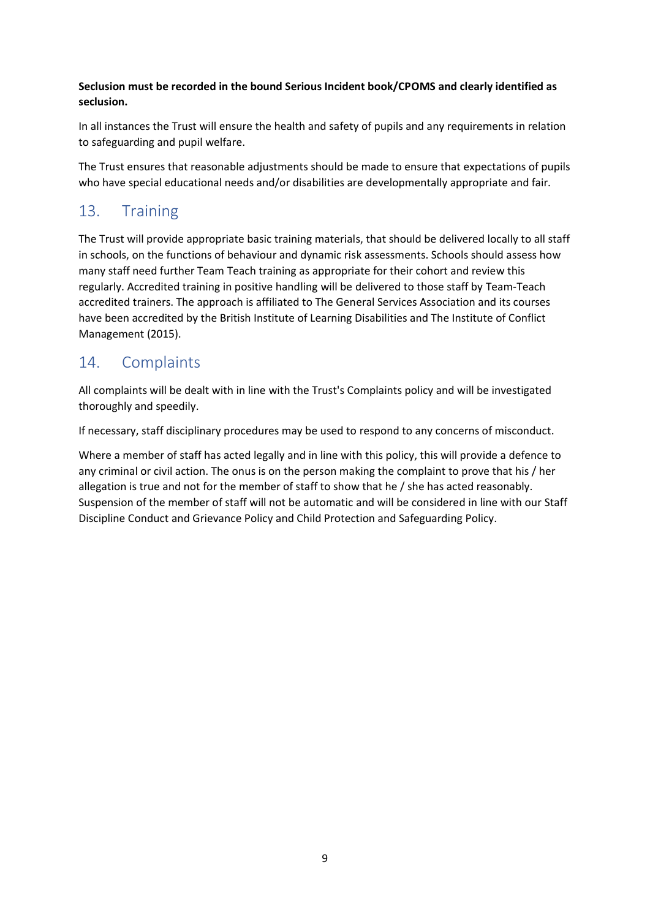### **Seclusion must be recorded in the bound Serious Incident book/CPOMS and clearly identified as seclusion.**

In all instances the Trust will ensure the health and safety of pupils and any requirements in relation to safeguarding and pupil welfare.

The Trust ensures that reasonable adjustments should be made to ensure that expectations of pupils who have special educational needs and/or disabilities are developmentally appropriate and fair.

# 13. Training

The Trust will provide appropriate basic training materials, that should be delivered locally to all staff in schools, on the functions of behaviour and dynamic risk assessments. Schools should assess how many staff need further Team Teach training as appropriate for their cohort and review this regularly. Accredited training in positive handling will be delivered to those staff by Team-Teach accredited trainers. The approach is affiliated to The General Services Association and its courses have been accredited by the British Institute of Learning Disabilities and The Institute of Conflict Management (2015).

# 14. Complaints

All complaints will be dealt with in line with the Trust's Complaints policy and will be investigated thoroughly and speedily.

If necessary, staff disciplinary procedures may be used to respond to any concerns of misconduct.

Where a member of staff has acted legally and in line with this policy, this will provide a defence to any criminal or civil action. The onus is on the person making the complaint to prove that his / her allegation is true and not for the member of staff to show that he / she has acted reasonably. Suspension of the member of staff will not be automatic and will be considered in line with our Staff Discipline Conduct and Grievance Policy and Child Protection and Safeguarding Policy.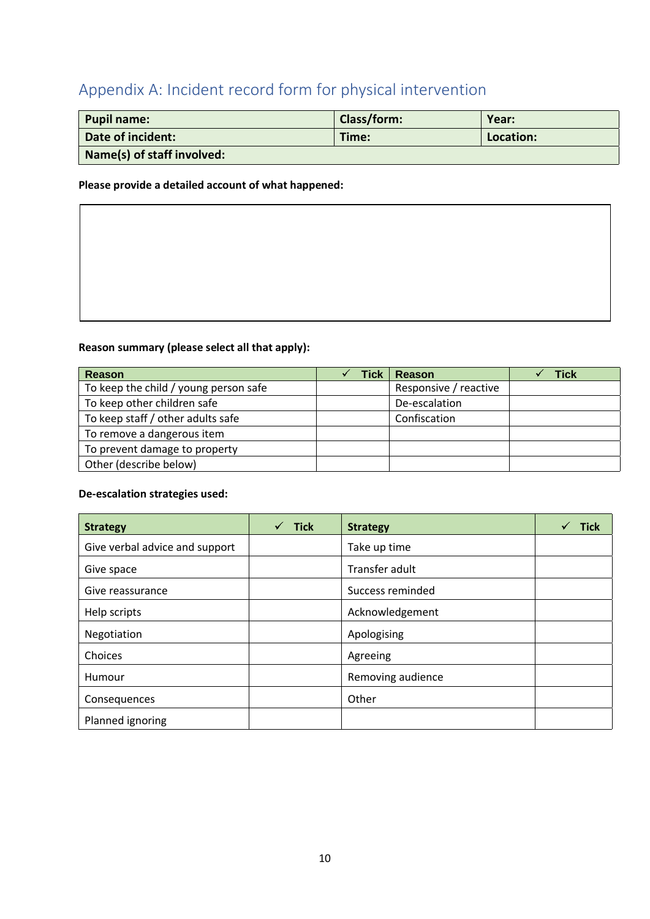# Appendix A: Incident record form for physical intervention

| <b>Pupil name:</b>         | <b>Class/form:</b> | Year:     |  |
|----------------------------|--------------------|-----------|--|
| Date of incident:          | Time:              | Location: |  |
| Name(s) of staff involved: |                    |           |  |

#### **Please provide a detailed account of what happened:**

#### **Reason summary (please select all that apply):**

| Reason                                | Tick | <b>Reason</b>         | Tick |
|---------------------------------------|------|-----------------------|------|
| To keep the child / young person safe |      | Responsive / reactive |      |
| To keep other children safe           |      | De-escalation         |      |
| To keep staff / other adults safe     |      | Confiscation          |      |
| To remove a dangerous item            |      |                       |      |
| To prevent damage to property         |      |                       |      |
| Other (describe below)                |      |                       |      |

#### **De-escalation strategies used:**

| <b>Strategy</b>                | <b>Tick</b> | <b>Strategy</b>   | Tick |
|--------------------------------|-------------|-------------------|------|
| Give verbal advice and support |             | Take up time      |      |
| Give space                     |             | Transfer adult    |      |
| Give reassurance               |             | Success reminded  |      |
| Help scripts                   |             | Acknowledgement   |      |
| Negotiation                    |             | Apologising       |      |
| Choices                        |             | Agreeing          |      |
| Humour                         |             | Removing audience |      |
| Consequences                   |             | Other             |      |
| Planned ignoring               |             |                   |      |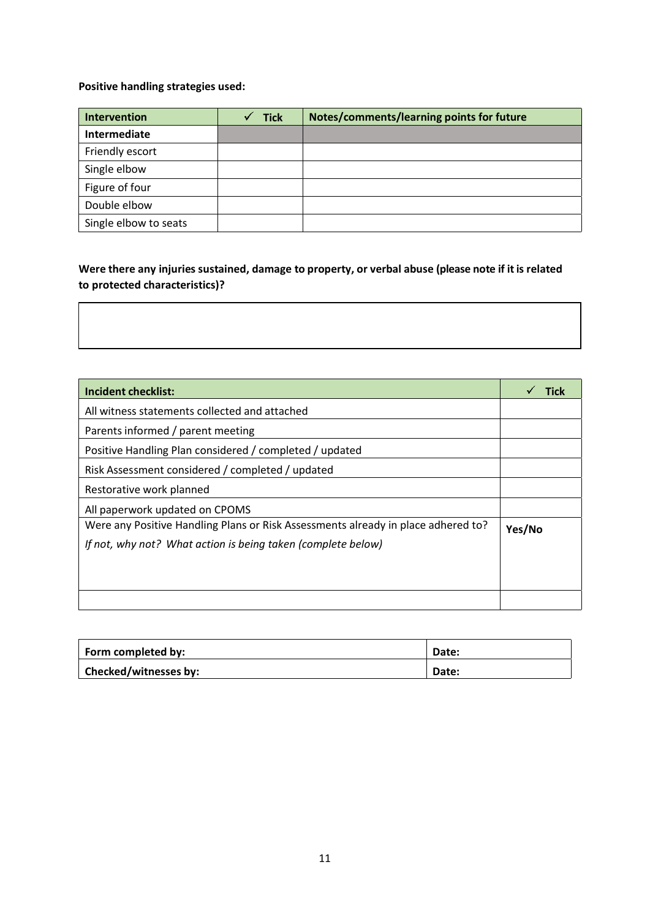### **Positive handling strategies used:**

| Intervention          | <b>Tick</b> | Notes/comments/learning points for future |
|-----------------------|-------------|-------------------------------------------|
| Intermediate          |             |                                           |
| Friendly escort       |             |                                           |
| Single elbow          |             |                                           |
| Figure of four        |             |                                           |
| Double elbow          |             |                                           |
| Single elbow to seats |             |                                           |

### **Were there any injuries sustained, damage to property, or verbal abuse (please note if it is related to protected characteristics)?**

| <b>Incident checklist:</b>                                                        |        |
|-----------------------------------------------------------------------------------|--------|
| All witness statements collected and attached                                     |        |
| Parents informed / parent meeting                                                 |        |
| Positive Handling Plan considered / completed / updated                           |        |
| Risk Assessment considered / completed / updated                                  |        |
| Restorative work planned                                                          |        |
| All paperwork updated on CPOMS                                                    |        |
| Were any Positive Handling Plans or Risk Assessments already in place adhered to? | Yes/No |
| If not, why not? What action is being taken (complete below)                      |        |
|                                                                                   |        |
|                                                                                   |        |
|                                                                                   |        |

| Form completed by:    | Date: |
|-----------------------|-------|
| Checked/witnesses by: | Date: |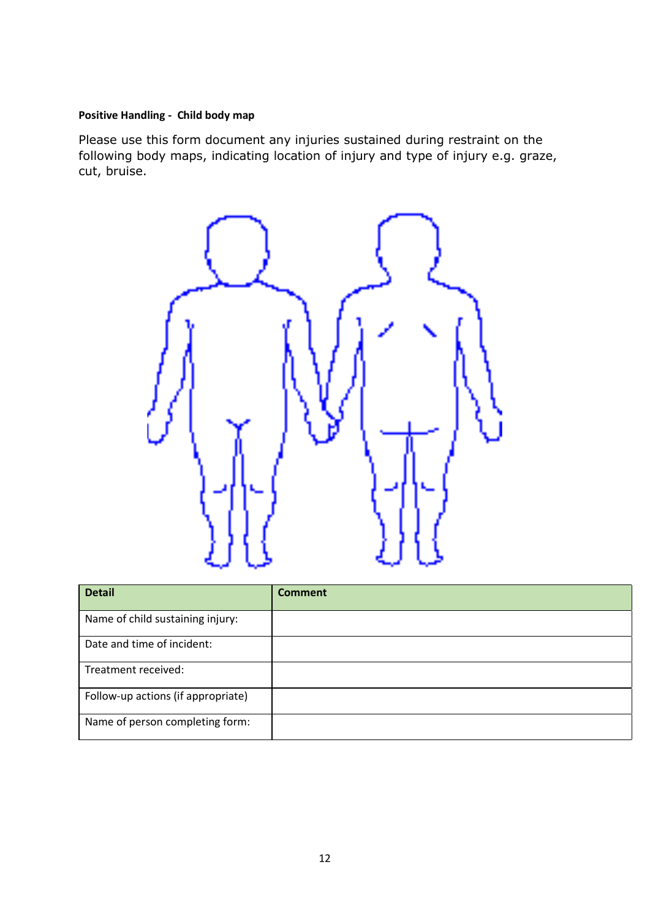### **Positive Handling - Child body map**

Please use this form document any injuries sustained during restraint on the following body maps, indicating location of injury and type of injury e.g. graze, cut, bruise.



| <b>Detail</b>                      | <b>Comment</b> |
|------------------------------------|----------------|
| Name of child sustaining injury:   |                |
| Date and time of incident:         |                |
| Treatment received:                |                |
| Follow-up actions (if appropriate) |                |
| Name of person completing form:    |                |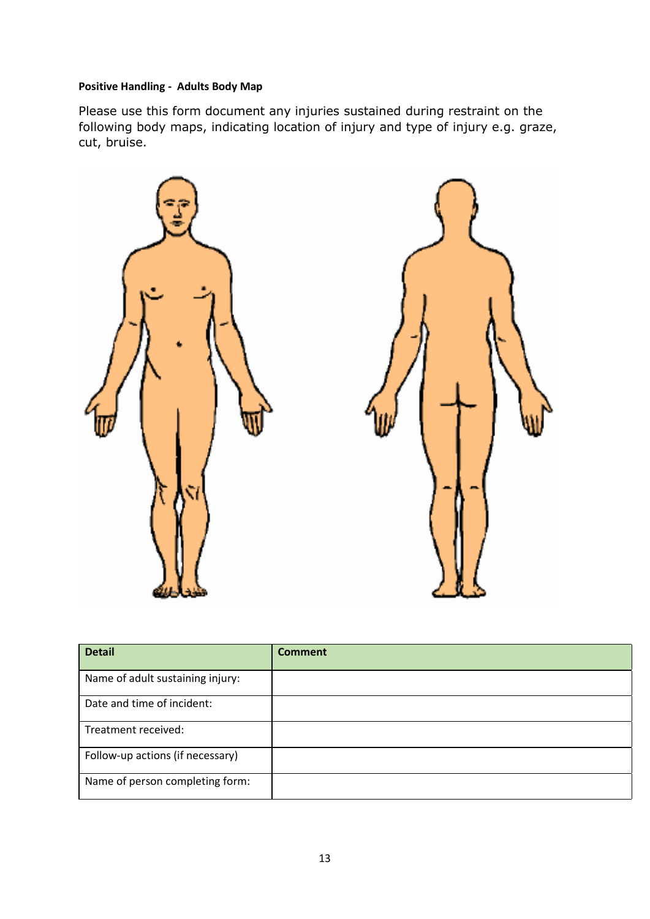### **Positive Handling - Adults Body Map**

Please use this form document any injuries sustained during restraint on the following body maps, indicating location of injury and type of injury e.g. graze, cut, bruise.



| <b>Detail</b>                    | <b>Comment</b> |
|----------------------------------|----------------|
| Name of adult sustaining injury: |                |
| Date and time of incident:       |                |
| Treatment received:              |                |
| Follow-up actions (if necessary) |                |
| Name of person completing form:  |                |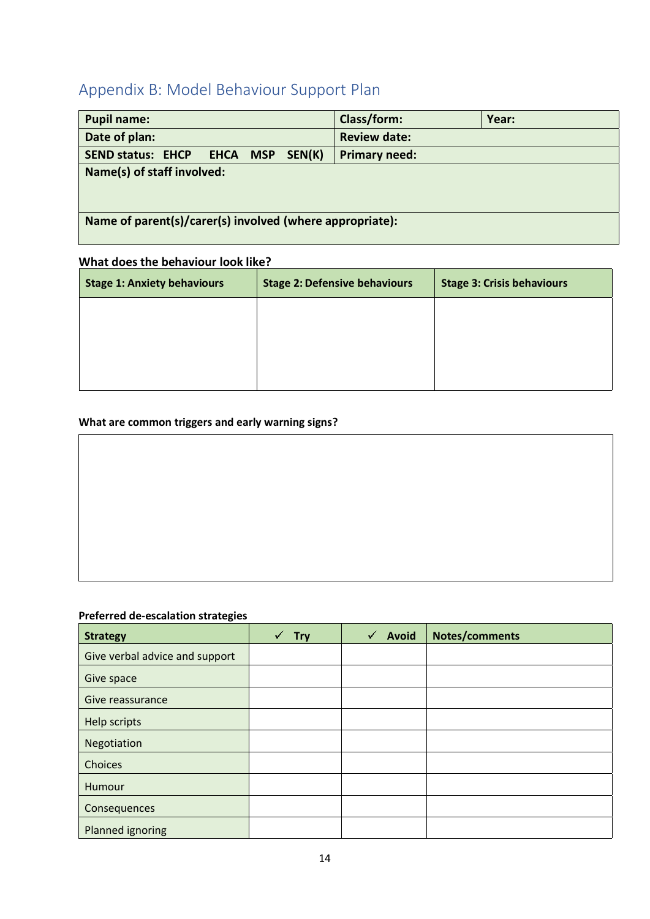# Appendix B: Model Behaviour Support Plan

| <b>Pupil name:</b>                                       | Class/form:          | Year: |  |
|----------------------------------------------------------|----------------------|-------|--|
| Date of plan:                                            | <b>Review date:</b>  |       |  |
| SEND status: EHCP EHCA MSP SEN(K)                        | <b>Primary need:</b> |       |  |
| Name(s) of staff involved:                               |                      |       |  |
| Name of parent(s)/carer(s) involved (where appropriate): |                      |       |  |

### **What does the behaviour look like?**

| <b>Stage 1: Anxiety behaviours</b> | <b>Stage 2: Defensive behaviours</b> | <b>Stage 3: Crisis behaviours</b> |
|------------------------------------|--------------------------------------|-----------------------------------|
|                                    |                                      |                                   |
|                                    |                                      |                                   |
|                                    |                                      |                                   |
|                                    |                                      |                                   |

### **What are common triggers and early warning signs?**

### **Preferred de-escalation strategies**

| <b>Strategy</b>                | <b>Try</b> | Avoid | Notes/comments |
|--------------------------------|------------|-------|----------------|
| Give verbal advice and support |            |       |                |
| Give space                     |            |       |                |
| Give reassurance               |            |       |                |
| Help scripts                   |            |       |                |
| Negotiation                    |            |       |                |
| Choices                        |            |       |                |
| Humour                         |            |       |                |
| Consequences                   |            |       |                |
| Planned ignoring               |            |       |                |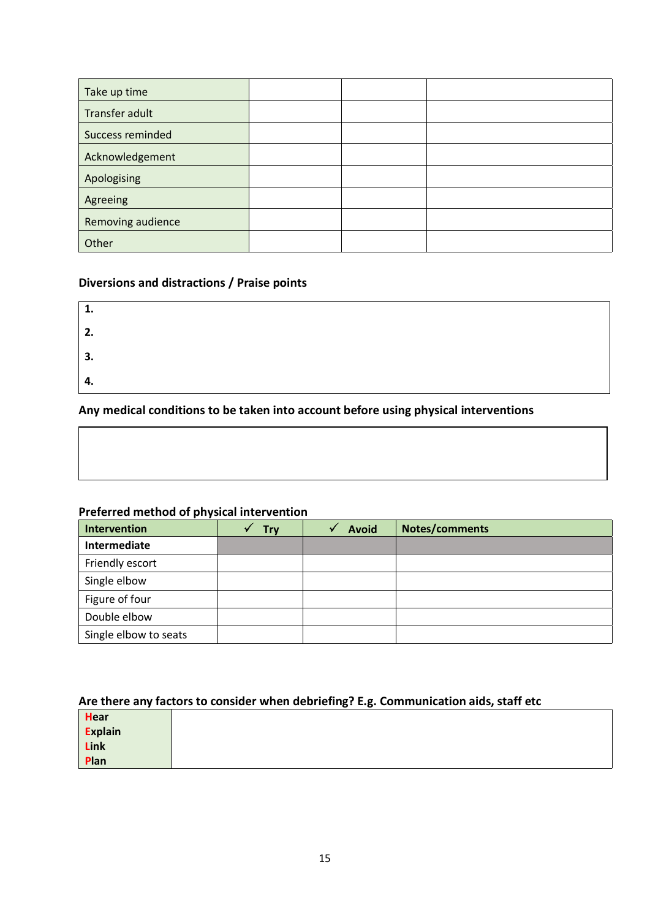| Take up time      |  |  |
|-------------------|--|--|
| Transfer adult    |  |  |
| Success reminded  |  |  |
| Acknowledgement   |  |  |
| Apologising       |  |  |
| Agreeing          |  |  |
| Removing audience |  |  |
| Other             |  |  |

### **Diversions and distractions / Praise points**

| 1.  |  |  |
|-----|--|--|
| 2.  |  |  |
| 3.  |  |  |
| -4. |  |  |

### **Any medical conditions to be taken into account before using physical interventions 5.**

### **Preferred method of physical intervention**

| Intervention          | <b>Trv</b> | <b>Avoid</b> | Notes/comments |
|-----------------------|------------|--------------|----------------|
| Intermediate          |            |              |                |
| Friendly escort       |            |              |                |
| Single elbow          |            |              |                |
| Figure of four        |            |              |                |
| Double elbow          |            |              |                |
| Single elbow to seats |            |              |                |

### **Are there any factors to consider when debriefing? E.g. Communication aids, staff etc**

| <b>Hear</b>     |  |
|-----------------|--|
| Explain<br>Link |  |
|                 |  |
| Plan            |  |